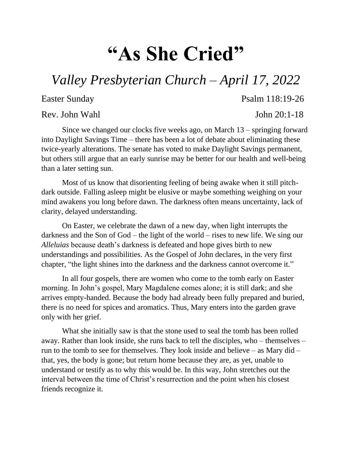## **"As She Cried"**

## *Valley Presbyterian Church – April 17, 2022*

Rev. John Wahl John 20:1-18

Easter Sunday Psalm 118:19-26

Since we changed our clocks five weeks ago, on March 13 – springing forward into Daylight Savings Time – there has been a lot of debate about eliminating these twice-yearly alterations. The senate has voted to make Daylight Savings permanent, but others still argue that an early sunrise may be better for our health and well-being than a later setting sun.

Most of us know that disorienting feeling of being awake when it still pitchdark outside. Falling asleep might be elusive or maybe something weighing on your mind awakens you long before dawn. The darkness often means uncertainty, lack of clarity, delayed understanding.

On Easter, we celebrate the dawn of a new day, when light interrupts the darkness and the Son of God – the light of the world – rises to new life. We sing our *Alleluias* because death's darkness is defeated and hope gives birth to new understandings and possibilities. As the Gospel of John declares, in the very first chapter, "the light shines into the darkness and the darkness cannot overcome it."

In all four gospels, there are women who come to the tomb early on Easter morning. In John's gospel, Mary Magdalene comes alone; it is still dark; and she arrives empty-handed. Because the body had already been fully prepared and buried, there is no need for spices and aromatics. Thus, Mary enters into the garden grave only with her grief.

What she initially saw is that the stone used to seal the tomb has been rolled away. Rather than look inside, she runs back to tell the disciples, who – themselves – run to the tomb to see for themselves. They look inside and believe – as Mary did – that, yes, the body is gone; but return home because they are, as yet, unable to understand or testify as to why this would be. In this way, John stretches out the interval between the time of Christ's resurrection and the point when his closest friends recognize it.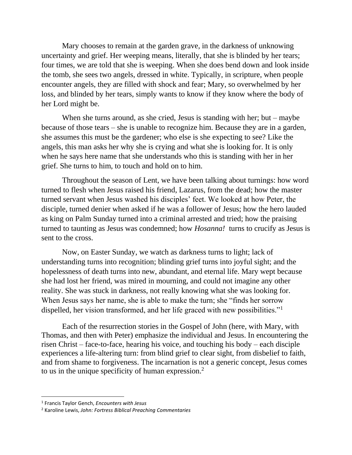Mary chooses to remain at the garden grave, in the darkness of unknowing uncertainty and grief. Her weeping means, literally, that she is blinded by her tears; four times, we are told that she is weeping. When she does bend down and look inside the tomb, she sees two angels, dressed in white. Typically, in scripture, when people encounter angels, they are filled with shock and fear; Mary, so overwhelmed by her loss, and blinded by her tears, simply wants to know if they know where the body of her Lord might be.

When she turns around, as she cried, Jesus is standing with her; but – maybe because of those tears – she is unable to recognize him. Because they are in a garden, she assumes this must be the gardener; who else is she expecting to see? Like the angels, this man asks her why she is crying and what she is looking for. It is only when he says here name that she understands who this is standing with her in her grief. She turns to him, to touch and hold on to him.

Throughout the season of Lent, we have been talking about turnings: how word turned to flesh when Jesus raised his friend, Lazarus, from the dead; how the master turned servant when Jesus washed his disciples' feet. We looked at how Peter, the disciple, turned denier when asked if he was a follower of Jesus; how the hero lauded as king on Palm Sunday turned into a criminal arrested and tried; how the praising turned to taunting as Jesus was condemned; how *Hosanna!* turns to crucify as Jesus is sent to the cross.

Now, on Easter Sunday, we watch as darkness turns to light; lack of understanding turns into recognition; blinding grief turns into joyful sight; and the hopelessness of death turns into new, abundant, and eternal life. Mary wept because she had lost her friend, was mired in mourning, and could not imagine any other reality. She was stuck in darkness, not really knowing what she was looking for. When Jesus says her name, she is able to make the turn; she "finds her sorrow dispelled, her vision transformed, and her life graced with new possibilities."<sup>1</sup>

Each of the resurrection stories in the Gospel of John (here, with Mary, with Thomas, and then with Peter) emphasize the individual and Jesus. In encountering the risen Christ – face-to-face, hearing his voice, and touching his body – each disciple experiences a life-altering turn: from blind grief to clear sight, from disbelief to faith, and from shame to forgiveness. The incarnation is not a generic concept, Jesus comes to us in the unique specificity of human expression.<sup>2</sup>

l

<sup>1</sup> Francis Taylor Gench, *Encounters with Jesus*

<sup>2</sup> Karoline Lewis, *John: Fortress Biblical Preaching Commentaries*